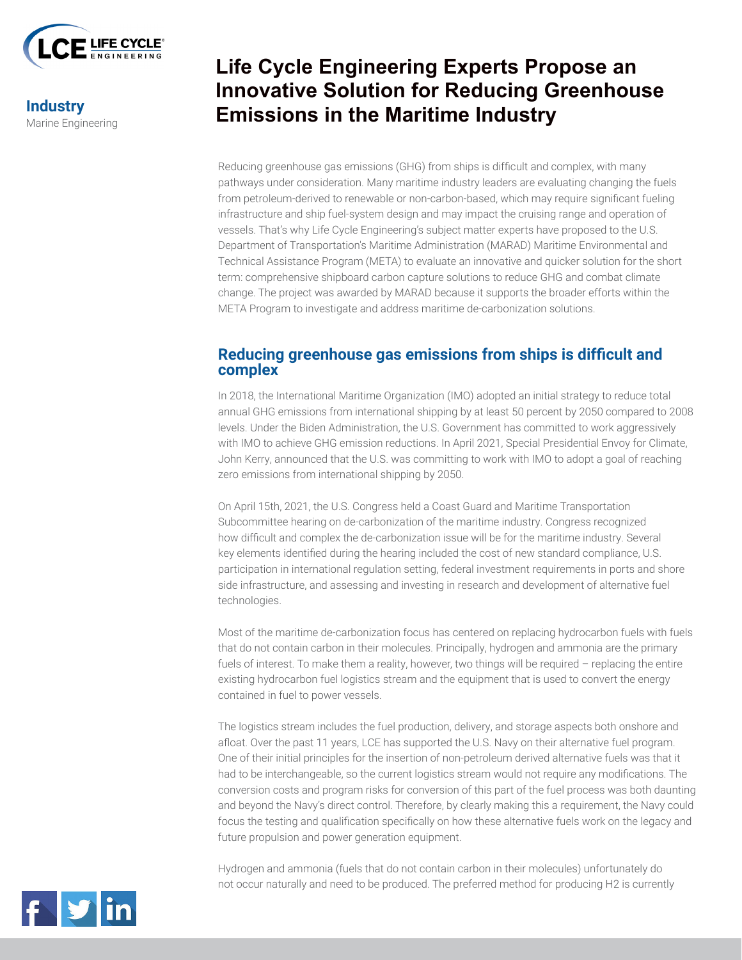

**Industry** Marine Engineering

# **Life Cycle Engineering Experts Propose an Innovative Solution for Reducing Greenhouse Emissions in the Maritime Industry**

Reducing greenhouse gas emissions (GHG) from ships is difficult and complex, with many pathways under consideration. Many maritime industry leaders are evaluating changing the fuels from petroleum-derived to renewable or non-carbon-based, which may require significant fueling infrastructure and ship fuel-system design and may impact the cruising range and operation of vessels. That's why Life Cycle Engineering's subject matter experts have proposed to the U.S. Department of Transportation's Maritime Administration (MARAD) Maritime Environmental and Technical Assistance Program (META) to evaluate an innovative and quicker solution for the short term: comprehensive shipboard carbon capture solutions to reduce GHG and combat climate change. The project was awarded by MARAD because it supports the broader efforts within the META Program to investigate and address maritime de-carbonization solutions.

### **Reducing greenhouse gas emissions from ships is difficult and complex**

In 2018, the International Maritime Organization (IMO) adopted an initial strategy to reduce total annual GHG emissions from international shipping by at least 50 percent by 2050 compared to 2008 levels. Under the Biden Administration, the U.S. Government has committed to work aggressively with IMO to achieve GHG emission reductions. In April 2021, Special Presidential Envoy for Climate, John Kerry, announced that the U.S. was committing to work with IMO to adopt a goal of reaching zero emissions from international shipping by 2050.

On April 15th, 2021, the U.S. Congress held a Coast Guard and Maritime Transportation Subcommittee hearing on de-carbonization of the maritime industry. Congress recognized how difficult and complex the de-carbonization issue will be for the maritime industry. Several key elements identified during the hearing included the cost of new standard compliance, U.S. participation in international regulation setting, federal investment requirements in ports and shore side infrastructure, and assessing and investing in research and development of alternative fuel technologies.

Most of the maritime de-carbonization focus has centered on replacing hydrocarbon fuels with fuels that do not contain carbon in their molecules. Principally, hydrogen and ammonia are the primary fuels of interest. To make them a reality, however, two things will be required - replacing the entire existing hydrocarbon fuel logistics stream and the equipment that is used to convert the energy contained in fuel to power vessels.

The logistics stream includes the fuel production, delivery, and storage aspects both onshore and afloat. Over the past 11 years, LCE has supported the U.S. Navy on their alternative fuel program. One of their initial principles for the insertion of non-petroleum derived alternative fuels was that it had to be interchangeable, so the current logistics stream would not require any modifications. The conversion costs and program risks for conversion of this part of the fuel process was both daunting and beyond the Navy's direct control. Therefore, by clearly making this a requirement, the Navy could focus the testing and qualification specifically on how these alternative fuels work on the legacy and future propulsion and power generation equipment.

Hydrogen and ammonia (fuels that do not contain carbon in their molecules) unfortunately do not occur naturally and need to be produced. The preferred method for producing H2 is currently